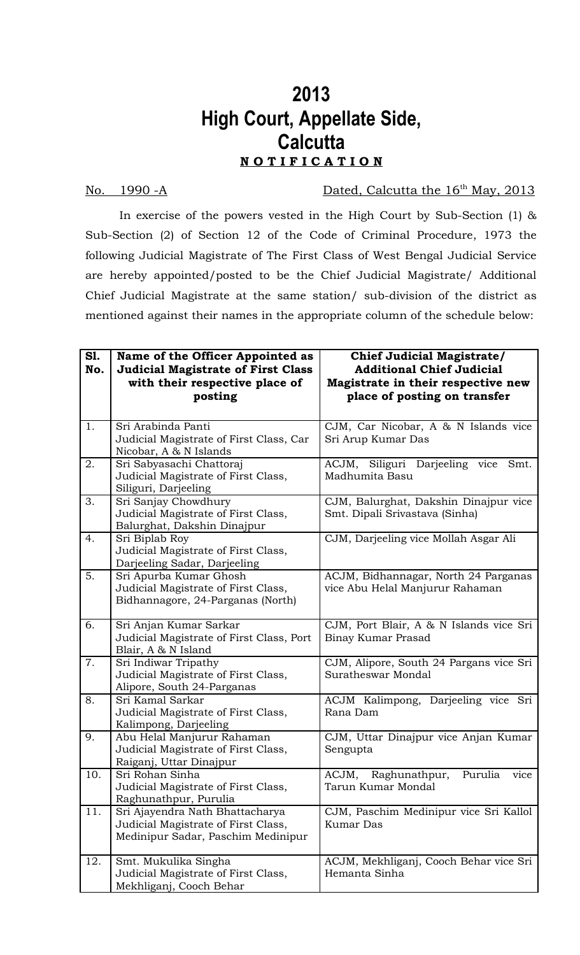## **2013 High Court, Appellate Side, Calcutta**

## **N O T I F I C A T I O N**

## No. 1990 -A Dated, Calcutta the 16<sup>th</sup> May, 2013

In exercise of the powers vested in the High Court by Sub-Section (1) & Sub-Section (2) of Section 12 of the Code of Criminal Procedure, 1973 the following Judicial Magistrate of The First Class of West Bengal Judicial Service are hereby appointed/posted to be the Chief Judicial Magistrate/ Additional Chief Judicial Magistrate at the same station/ sub-division of the district as mentioned against their names in the appropriate column of the schedule below:

| S1.<br>No. | Name of the Officer Appointed as<br><b>Judicial Magistrate of First Class</b><br>with their respective place of<br>posting | <b>Chief Judicial Magistrate/</b><br><b>Additional Chief Judicial</b><br>Magistrate in their respective new<br>place of posting on transfer |
|------------|----------------------------------------------------------------------------------------------------------------------------|---------------------------------------------------------------------------------------------------------------------------------------------|
| 1.         | Sri Arabinda Panti<br>Judicial Magistrate of First Class, Car<br>Nicobar, A & N Islands                                    | CJM, Car Nicobar, A & N Islands vice<br>Sri Arup Kumar Das                                                                                  |
| 2.         | Sri Sabyasachi Chattoraj<br>Judicial Magistrate of First Class,<br>Siliguri, Darjeeling                                    | ACJM, Siliguri Darjeeling vice<br>Smt.<br>Madhumita Basu                                                                                    |
| 3.         | Sri Sanjay Chowdhury<br>Judicial Magistrate of First Class,<br>Balurghat, Dakshin Dinajpur                                 | CJM, Balurghat, Dakshin Dinajpur vice<br>Smt. Dipali Srivastava (Sinha)                                                                     |
| 4.         | Sri Biplab Roy<br>Judicial Magistrate of First Class,<br>Darjeeling Sadar, Darjeeling                                      | CJM, Darjeeling vice Mollah Asgar Ali                                                                                                       |
| 5.         | Sri Apurba Kumar Ghosh<br>Judicial Magistrate of First Class,<br>Bidhannagore, 24-Parganas (North)                         | ACJM, Bidhannagar, North 24 Parganas<br>vice Abu Helal Manjurur Rahaman                                                                     |
| 6.         | Sri Anjan Kumar Sarkar<br>Judicial Magistrate of First Class, Port<br>Blair, A & N Island                                  | CJM, Port Blair, A & N Islands vice Sri<br>Binay Kumar Prasad                                                                               |
| 7.         | Sri Indiwar Tripathy<br>Judicial Magistrate of First Class,<br>Alipore, South 24-Parganas                                  | CJM, Alipore, South 24 Pargans vice Sri<br>Suratheswar Mondal                                                                               |
| 8.         | Sri Kamal Sarkar<br>Judicial Magistrate of First Class,<br>Kalimpong, Darjeeling                                           | ACJM Kalimpong, Darjeeling vice Sri<br>Rana Dam                                                                                             |
| 9.         | Abu Helal Manjurur Rahaman<br>Judicial Magistrate of First Class,<br>Raiganj, Uttar Dinajpur                               | CJM, Uttar Dinajpur vice Anjan Kumar<br>Sengupta                                                                                            |
| 10.        | Sri Rohan Sinha<br>Judicial Magistrate of First Class,<br>Raghunathpur, Purulia                                            | ACJM,<br>Raghunathpur,<br>Purulia<br>vice<br>Tarun Kumar Mondal                                                                             |
| 11.        | Sri Ajayendra Nath Bhattacharya<br>Judicial Magistrate of First Class,<br>Medinipur Sadar, Paschim Medinipur               | CJM, Paschim Medinipur vice Sri Kallol<br><b>Kumar Das</b>                                                                                  |
| 12.        | Smt. Mukulika Singha<br>Judicial Magistrate of First Class,<br>Mekhliganj, Cooch Behar                                     | ACJM, Mekhliganj, Cooch Behar vice Sri<br>Hemanta Sinha                                                                                     |